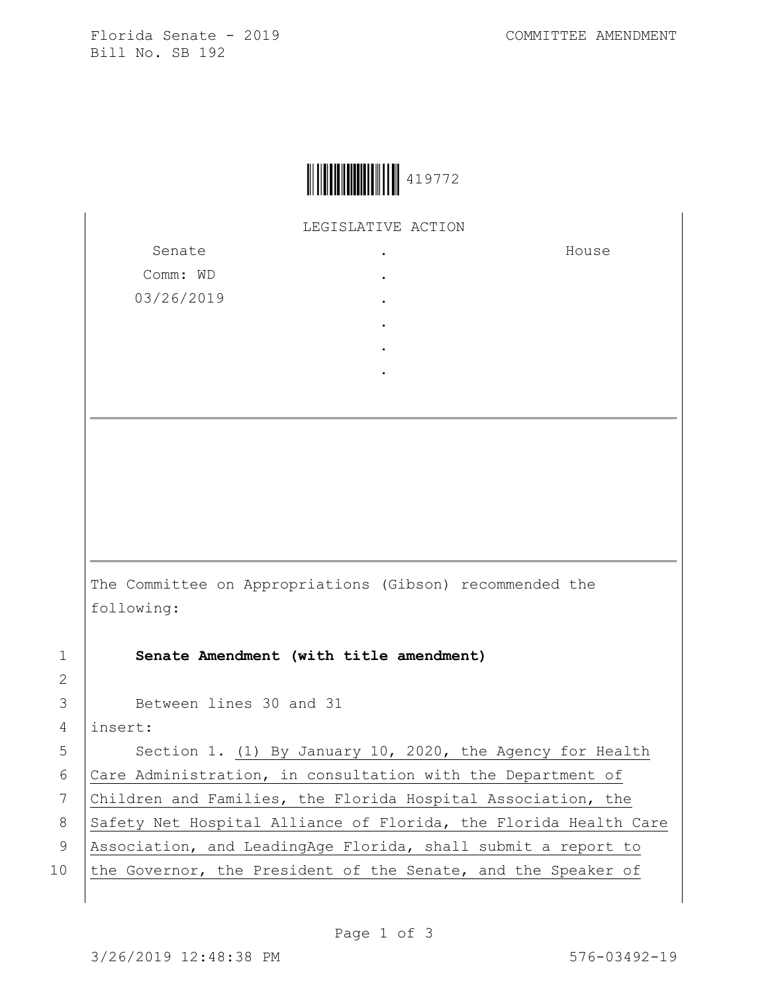Florida Senate - 2019 COMMITTEE AMENDMENT Bill No. SB 192

House



LEGISLATIVE ACTION

Senate Comm: WD 03/26/2019 . . . . . .

The Committee on Appropriations (Gibson) recommended the following:

1 **Senate Amendment (with title amendment)**

3 Between lines 30 and 31

4 insert:

5 | Section 1. (1) By January 10, 2020, the Agency for Health 6 Care Administration, in consultation with the Department of 7 Children and Families, the Florida Hospital Association, the 8 Safety Net Hospital Alliance of Florida, the Florida Health Care 9 Association, and LeadingAge Florida, shall submit a report to 10 the Governor, the President of the Senate, and the Speaker of

2

Page 1 of 3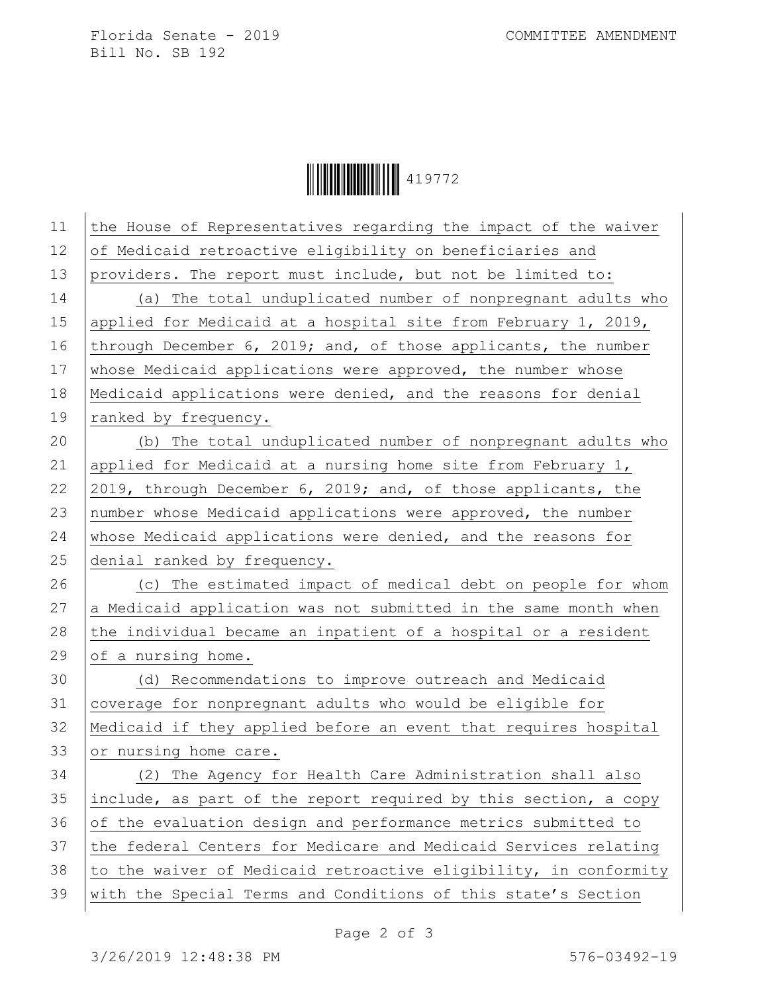Florida Senate - 2019 COMMITTEE AMENDMENT Bill No. SB 192

Ì419772AÎ419772

| 11 | the House of Representatives regarding the impact of the waiver  |
|----|------------------------------------------------------------------|
| 12 | of Medicaid retroactive eligibility on beneficiaries and         |
| 13 | providers. The report must include, but not be limited to:       |
| 14 | (a) The total unduplicated number of nonpregnant adults who      |
| 15 | applied for Medicaid at a hospital site from February 1, 2019,   |
| 16 | through December 6, 2019; and, of those applicants, the number   |
| 17 | whose Medicaid applications were approved, the number whose      |
| 18 | Medicaid applications were denied, and the reasons for denial    |
| 19 | ranked by frequency.                                             |
| 20 | (b) The total unduplicated number of nonpregnant adults who      |
| 21 | applied for Medicaid at a nursing home site from February 1,     |
| 22 | 2019, through December 6, 2019; and, of those applicants, the    |
| 23 | number whose Medicaid applications were approved, the number     |
| 24 | whose Medicaid applications were denied, and the reasons for     |
| 25 | denial ranked by frequency.                                      |
| 26 | (c) The estimated impact of medical debt on people for whom      |
| 27 | a Medicaid application was not submitted in the same month when  |
| 28 | the individual became an inpatient of a hospital or a resident   |
| 29 | of a nursing home.                                               |
| 30 | (d) Recommendations to improve outreach and Medicaid             |
| 31 | coverage for nonpregnant adults who would be eligible for        |
| 32 | Medicaid if they applied before an event that requires hospital  |
| 33 | or nursing home care.                                            |
| 34 | (2) The Agency for Health Care Administration shall also         |
| 35 | include, as part of the report required by this section, a copy  |
| 36 | of the evaluation design and performance metrics submitted to    |
| 37 | the federal Centers for Medicare and Medicaid Services relating  |
| 38 | to the waiver of Medicaid retroactive eligibility, in conformity |
| 39 | with the Special Terms and Conditions of this state's Section    |
|    |                                                                  |